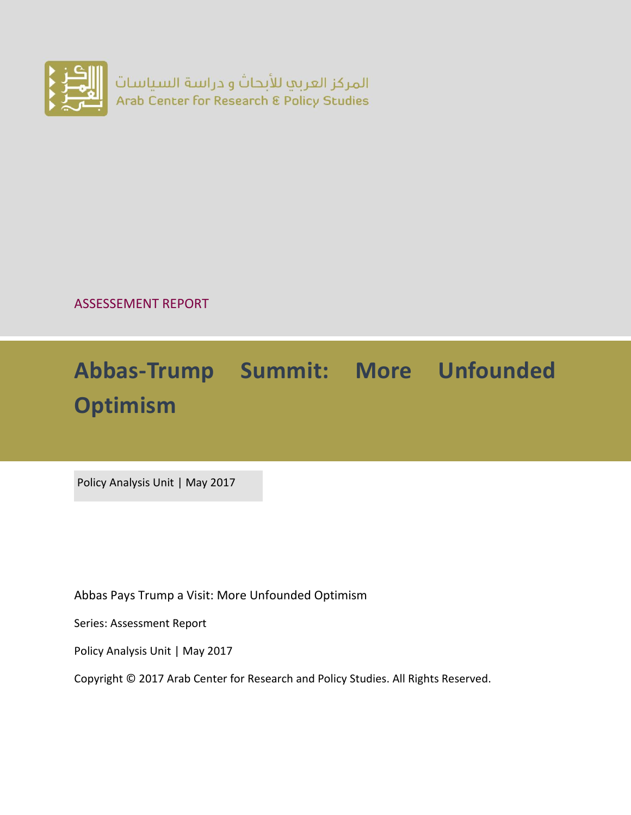

ASSESSEMENT REPORT

# **Abbas-Trump Summit: More Unfounded Optimism**

Policy Analysis Unit | May 2017

Abbas Pays Trump a Visit: More Unfounded Optimism

Series: Assessment Report

Policy Analysis Unit | May 2017

Copyright © 2017 Arab Center for Research and Policy Studies. All Rights Reserved.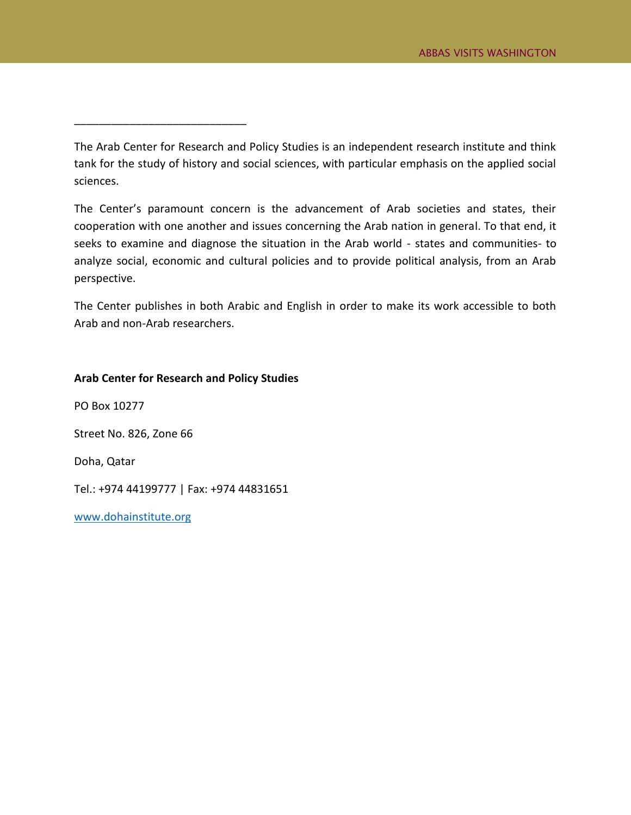The Arab Center for Research and Policy Studies is an independent research institute and think tank for the study of history and social sciences, with particular emphasis on the applied social sciences.

The Center's paramount concern is the advancement of Arab societies and states, their cooperation with one another and issues concerning the Arab nation in general. To that end, it seeks to examine and diagnose the situation in the Arab world - states and communities- to analyze social, economic and cultural policies and to provide political analysis, from an Arab perspective.

The Center publishes in both Arabic and English in order to make its work accessible to both Arab and non-Arab researchers.

#### **Arab Center for Research and Policy Studies**

\_\_\_\_\_\_\_\_\_\_\_\_\_\_\_\_\_\_\_\_\_\_\_\_\_\_\_\_

PO Box 10277 Street No. 826, Zone 66

Doha, Qatar

Tel.: +974 44199777 | Fax: +974 44831651

[www.dohainstitute.org](file:///C:/Users/dena.qaddumi/Desktop/www.dohainstitute.org)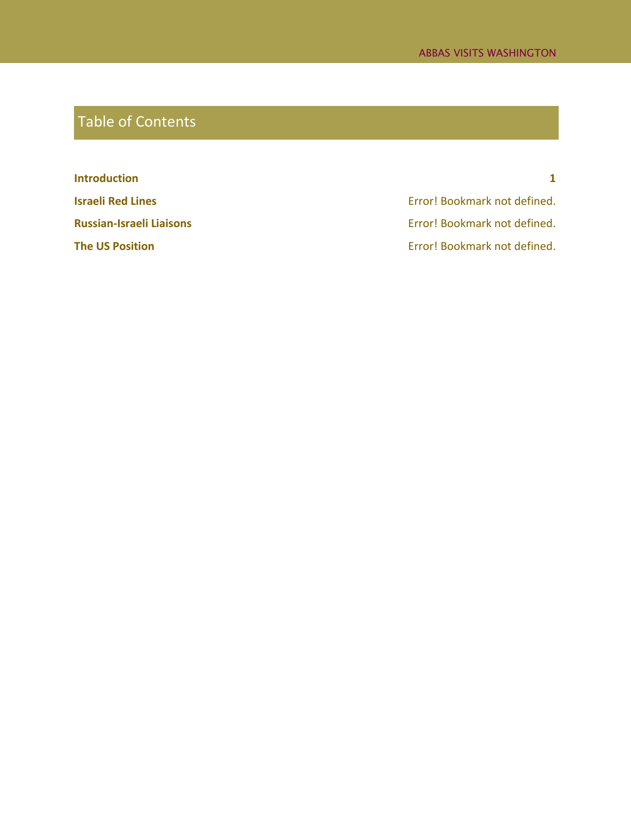## Table of Contents

**[Introduction](#page-3-0) 1 Israeli Red Lines** Error! Bookmark not defined. **Russian-Israeli Liaisons Error! Bookmark not defined.** 

**The US Position** Error! Bookmark not defined.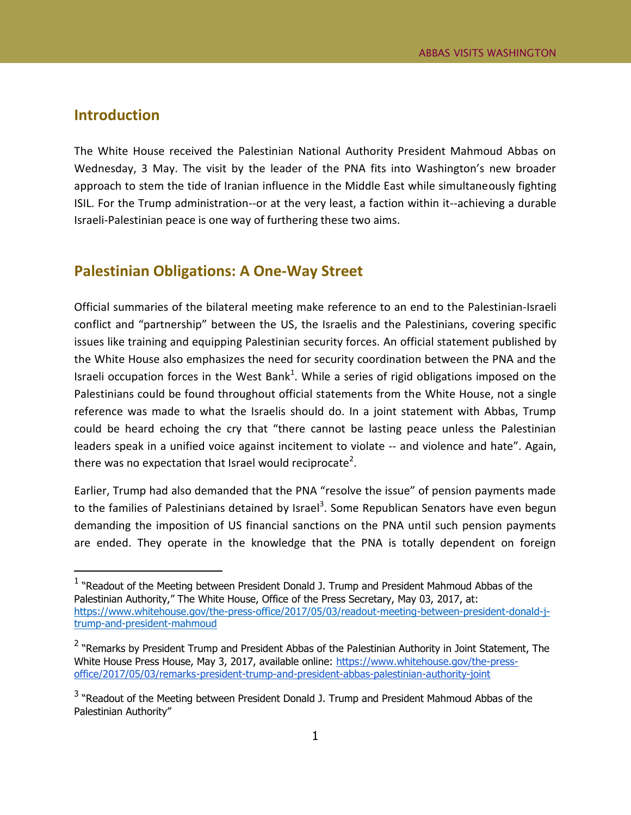#### <span id="page-3-0"></span>**Introduction**

 $\overline{a}$ 

The White House received the Palestinian National Authority President Mahmoud Abbas on Wednesday, 3 May. The visit by the leader of the PNA fits into Washington's new broader approach to stem the tide of Iranian influence in the Middle East while simultaneously fighting ISIL. For the Trump administration--or at the very least, a faction within it--achieving a durable Israeli-Palestinian peace is one way of furthering these two aims.

#### **Palestinian Obligations: A One-Way Street**

Official summaries of the bilateral meeting make reference to an end to the Palestinian-Israeli conflict and "partnership" between the US, the Israelis and the Palestinians, covering specific issues like training and equipping Palestinian security forces. An official statement published by the White House also emphasizes the need for security coordination between the PNA and the Israeli occupation forces in the West Bank<sup>1</sup>. While a series of rigid obligations imposed on the Palestinians could be found throughout official statements from the White House, not a single reference was made to what the Israelis should do. In a joint statement with Abbas, Trump could be heard echoing the cry that "there cannot be lasting peace unless the Palestinian leaders speak in a unified voice against incitement to violate -- and violence and hate". Again, there was no expectation that Israel would reciprocate<sup>2</sup>.

Earlier, Trump had also demanded that the PNA "resolve the issue" of pension payments made to the families of Palestinians detained by Israel<sup>3</sup>. Some Republican Senators have even begun demanding the imposition of US financial sanctions on the PNA until such pension payments are ended. They operate in the knowledge that the PNA is totally dependent on foreign

<sup>&</sup>lt;sup>1</sup> "Readout of the Meeting between President Donald J. Trump and President Mahmoud Abbas of the Palestinian Authority," The White House, Office of the Press Secretary, May 03, 2017, at: [https://www.whitehouse.gov/the-press-office/2017/05/03/readout-meeting-between-president-donald-j](https://www.whitehouse.gov/the-press-office/2017/05/03/readout-meeting-between-president-donald-j-trump-and-president-mahmoud)[trump-and-president-mahmoud](https://www.whitehouse.gov/the-press-office/2017/05/03/readout-meeting-between-president-donald-j-trump-and-president-mahmoud)

<sup>&</sup>lt;sup>2</sup> "Remarks by President Trump and President Abbas of the Palestinian Authority in Joint Statement, The White House Press House, May 3, 2017, available online: [https://www.whitehouse.gov/the-press](https://www.whitehouse.gov/the-press-office/2017/05/03/remarks-president-trump-and-president-abbas-palestinian-authority-joint)[office/2017/05/03/remarks-president-trump-and-president-abbas-palestinian-authority-joint](https://www.whitehouse.gov/the-press-office/2017/05/03/remarks-president-trump-and-president-abbas-palestinian-authority-joint)

 $3$  "Readout of the Meeting between President Donald J. Trump and President Mahmoud Abbas of the Palestinian Authority"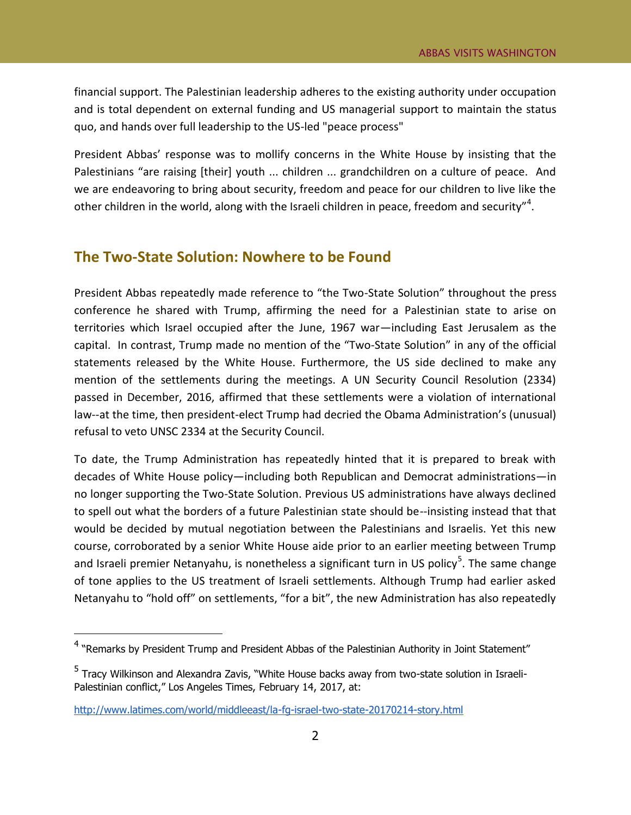financial support. The Palestinian leadership adheres to the existing authority under occupation and is total dependent on external funding and US managerial support to maintain the status quo, and hands over full leadership to the US-led "peace process"

President Abbas' response was to mollify concerns in the White House by insisting that the Palestinians "are raising [their] youth ... children ... grandchildren on a culture of peace. And we are endeavoring to bring about security, freedom and peace for our children to live like the other children in the world, along with the Israeli children in peace, freedom and security"<sup>4</sup>.

#### **The Two-State Solution: Nowhere to be Found**

President Abbas repeatedly made reference to "the Two-State Solution" throughout the press conference he shared with Trump, affirming the need for a Palestinian state to arise on territories which Israel occupied after the June, 1967 war—including East Jerusalem as the capital. In contrast, Trump made no mention of the "Two-State Solution" in any of the official statements released by the White House. Furthermore, the US side declined to make any mention of the settlements during the meetings. A UN Security Council Resolution (2334) passed in December, 2016, affirmed that these settlements were a violation of international law--at the time, then president-elect Trump had decried the Obama Administration's (unusual) refusal to veto UNSC 2334 at the Security Council.

To date, the Trump Administration has repeatedly hinted that it is prepared to break with decades of White House policy—including both Republican and Democrat administrations—in no longer supporting the Two-State Solution. Previous US administrations have always declined to spell out what the borders of a future Palestinian state should be--insisting instead that that would be decided by mutual negotiation between the Palestinians and Israelis. Yet this new course, corroborated by a senior White House aide prior to an earlier meeting between Trump and Israeli premier Netanyahu, is nonetheless a significant turn in US policy<sup>5</sup>. The same change of tone applies to the US treatment of Israeli settlements. Although Trump had earlier asked Netanyahu to "hold off" on settlements, "for a bit", the new Administration has also repeatedly

 $\overline{a}$ 

<sup>&</sup>lt;sup>4</sup> "Remarks by President Trump and President Abbas of the Palestinian Authority in Joint Statement"

<sup>&</sup>lt;sup>5</sup> Tracy Wilkinson and Alexandra Zavis, "White House backs away from two-state solution in Israeli-Palestinian conflict," Los Angeles Times, February 14, 2017, at:

<http://www.latimes.com/world/middleeast/la-fg-israel-two-state-20170214-story.html>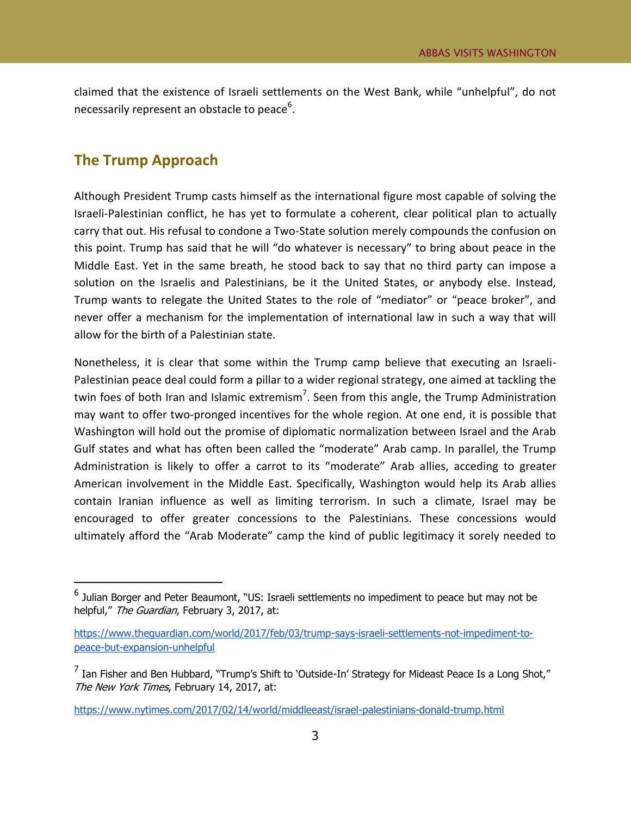claimed that the existence of Israeli settlements on the West Bank, while "unhelpful", do not necessarily represent an obstacle to peace<sup>6</sup>.

### **The Trump Approach**

 $\overline{a}$ 

Although President Trump casts himself as the international figure most capable of solving the Israeli-Palestinian conflict, he has yet to formulate a coherent, clear political plan to actually carry that out. His refusal to condone a Two-State solution merely compounds the confusion on this point. Trump has said that he will "do whatever is necessary" to bring about peace in the Middle East. Yet in the same breath, he stood back to say that no third party can impose a solution on the Israelis and Palestinians, be it the United States, or anybody else. Instead, Trump wants to relegate the United States to the role of "mediator" or "peace broker", and never offer a mechanism for the implementation of international law in such a way that will allow for the birth of a Palestinian state.

Nonetheless, it is clear that some within the Trump camp believe that executing an Israeli-Palestinian peace deal could form a pillar to a wider regional strategy, one aimed at tackling the twin foes of both Iran and Islamic extremism<sup>7</sup>. Seen from this angle, the Trump Administration may want to offer two-pronged incentives for the whole region. At one end, it is possible that Washington will hold out the promise of diplomatic normalization between Israel and the Arab Gulf states and what has often been called the "moderate" Arab camp. In parallel, the Trump Administration is likely to offer a carrot to its "moderate" Arab allies, acceding to greater American involvement in the Middle East. Specifically, Washington would help its Arab allies contain Iranian influence as well as limiting terrorism. In such a climate, Israel may be encouraged to offer greater concessions to the Palestinians. These concessions would ultimately afford the "Arab Moderate" camp the kind of public legitimacy it sorely needed to

 $^6$  Julian Borger and Peter Beaumont, "US: Israeli settlements no impediment to peace but may not be helpful," The Guardian, February 3, 2017, at:

[https://www.theguardian.com/world/2017/feb/03/trump-says-israeli-settlements-not-impediment-to](https://www.theguardian.com/world/2017/feb/03/trump-says-israeli-settlements-not-impediment-to-peace-but-expansion-unhelpful)[peace-but-expansion-unhelpful](https://www.theguardian.com/world/2017/feb/03/trump-says-israeli-settlements-not-impediment-to-peace-but-expansion-unhelpful)

 $^7$  Ian Fisher and Ben Hubbard, "Trump's Shift to `Outside-In' Strategy for Mideast Peace Is a Long Shot," The New York Times, February 14, 2017, at:

<https://www.nytimes.com/2017/02/14/world/middleeast/israel-palestinians-donald-trump.html>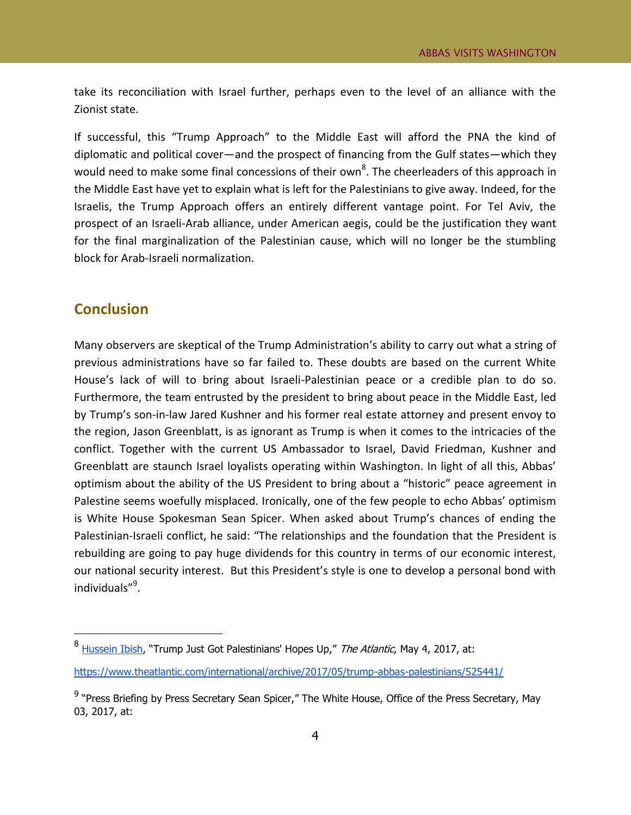take its reconciliation with Israel further, perhaps even to the level of an alliance with the Zionist state.

If successful, this "Trump Approach" to the Middle East will afford the PNA the kind of diplomatic and political cover—and the prospect of financing from the Gulf states—which they would need to make some final concessions of their own<sup>8</sup>. The cheerleaders of this approach in the Middle East have yet to explain what is left for the Palestinians to give away. Indeed, for the Israelis, the Trump Approach offers an entirely different vantage point. For Tel Aviv, the prospect of an Israeli-Arab alliance, under American aegis, could be the justification they want for the final marginalization of the Palestinian cause, which will no longer be the stumbling block for Arab-Israeli normalization.

#### **Conclusion**

 $\overline{a}$ 

Many observers are skeptical of the Trump Administration's ability to carry out what a string of previous administrations have so far failed to. These doubts are based on the current White House's lack of will to bring about Israeli-Palestinian peace or a credible plan to do so. Furthermore, the team entrusted by the president to bring about peace in the Middle East, led by Trump's son-in-law Jared Kushner and his former real estate attorney and present envoy to the region, Jason Greenblatt, is as ignorant as Trump is when it comes to the intricacies of the conflict. Together with the current US Ambassador to Israel, David Friedman, Kushner and Greenblatt are staunch Israel loyalists operating within Washington. In light of all this, Abbas' optimism about the ability of the US President to bring about a "historic" peace agreement in Palestine seems woefully misplaced. Ironically, one of the few people to echo Abbas' optimism is White House Spokesman Sean Spicer. When asked about Trump's chances of ending the Palestinian-Israeli conflict, he said: "The relationships and the foundation that the President is rebuilding are going to pay huge dividends for this country in terms of our economic interest, our national security interest. But this President's style is one to develop a personal bond with individuals"<sup>9</sup>.

<sup>&</sup>lt;sup>8</sup> [Hussein Ibish](https://www.theatlantic.com/author/hussein-ibish/), "Trump Just Got Palestinians' Hopes Up," *The Atlantic*, May 4, 2017, at:

<https://www.theatlantic.com/international/archive/2017/05/trump-abbas-palestinians/525441/>

<sup>&</sup>lt;sup>9</sup> "Press Briefing by Press Secretary Sean Spicer," The White House, Office of the Press Secretary, May 03, 2017, at: